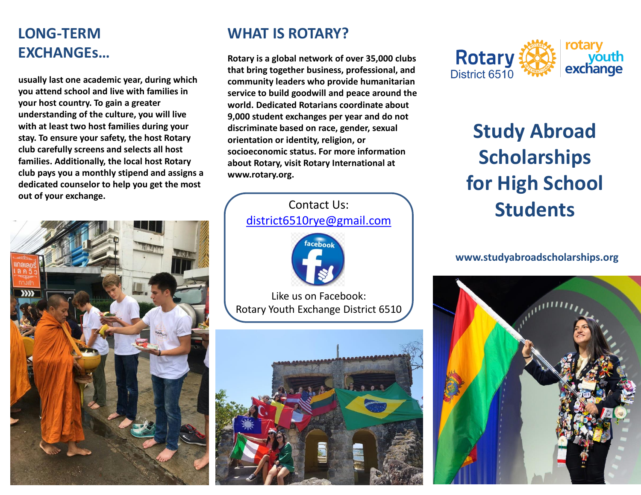## **LONG-TERM EXCHANGEs…**

**usually last one academic year, during which you attend school and live with families in your host country. To gain a greater understanding of the culture, you will live with at least two host families during your stay. To ensure your safety, the host Rotary club carefully screens and selects all host families. Additionally, the local host Rotary club pays you a monthly stipend and assigns a dedicated counselor to help you get the most out of your exchange.**



### **WHAT IS ROTARY?**

**Rotary is a global network of over 35,000 clubs that bring together business, professional, and community leaders who provide humanitarian service to build goodwill and peace around the world. Dedicated Rotarians coordinate about 9,000 student exchanges per year and do not discriminate based on race, gender, sexual orientation or identity, religion, or socioeconomic status. For more information about Rotary, visit Rotary International at www.rotary.org.** 





# **Study Abroad Scholarships for High School Students**

#### **www.studyabroadscholarships.org**